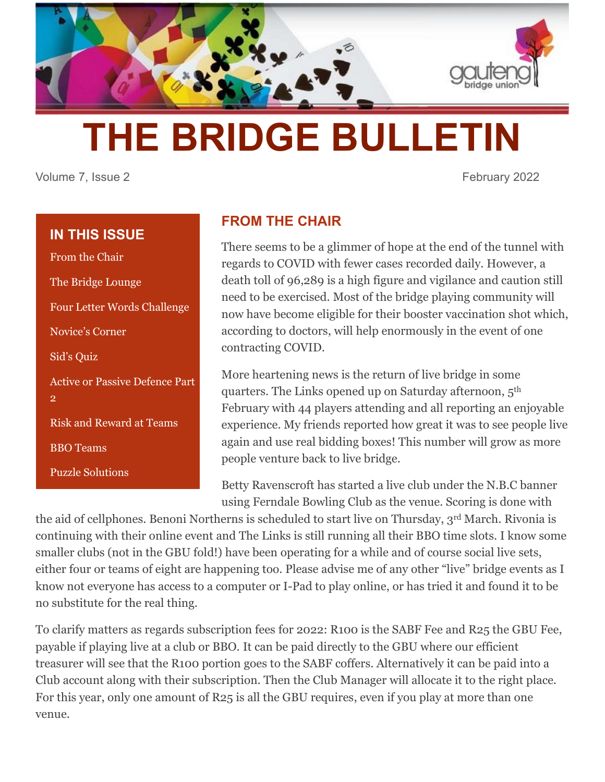

# **THE BRIDGE BULLETIN**

Volume 7, Issue 2 **February 2022** 

# **IN THIS ISSUE**

From the Chair The Bridge Lounge Four Letter Words Challenge Novice's Corner Sid's Quiz Active or Passive Defence Part 2 Risk and Reward at Teams BBO Teams

Puzzle Solutions

**FROM THE CHAIR**

There seems to be a glimmer of hope at the end of the tunnel with regards to COVID with fewer cases recorded daily. However, a death toll of 96,289 is a high figure and vigilance and caution still need to be exercised. Most of the bridge playing community will now have become eligible for their booster vaccination shot which, according to doctors, will help enormously in the event of one contracting COVID.

More heartening news is the return of live bridge in some quarters. The Links opened up on Saturday afternoon, 5th February with 44 players attending and all reporting an enjoyable experience. My friends reported how great it was to see people live again and use real bidding boxes! This number will grow as more people venture back to live bridge.

Betty Ravenscroft has started a live club under the N.B.C banner using Ferndale Bowling Club as the venue. Scoring is done with

the aid of cellphones. Benoni Northerns is scheduled to start live on Thursday, 3rd March. Rivonia is continuing with their online event and The Links is still running all their BBO time slots. I know some smaller clubs (not in the GBU fold!) have been operating for a while and of course social live sets, either four or teams of eight are happening too. Please advise me of any other "live" bridge events as I know not everyone has access to a computer or I-Pad to play online, or has tried it and found it to be no substitute for the real thing.

To clarify matters as regards subscription fees for 2022: R100 is the SABF Fee and R25 the GBU Fee, payable if playing live at a club or BBO. It can be paid directly to the GBU where our efficient treasurer will see that the R100 portion goes to the SABF coffers. Alternatively it can be paid into a Club account along with their subscription. Then the Club Manager will allocate it to the right place. For this year, only one amount of R25 is all the GBU requires, even if you play at more than one venue.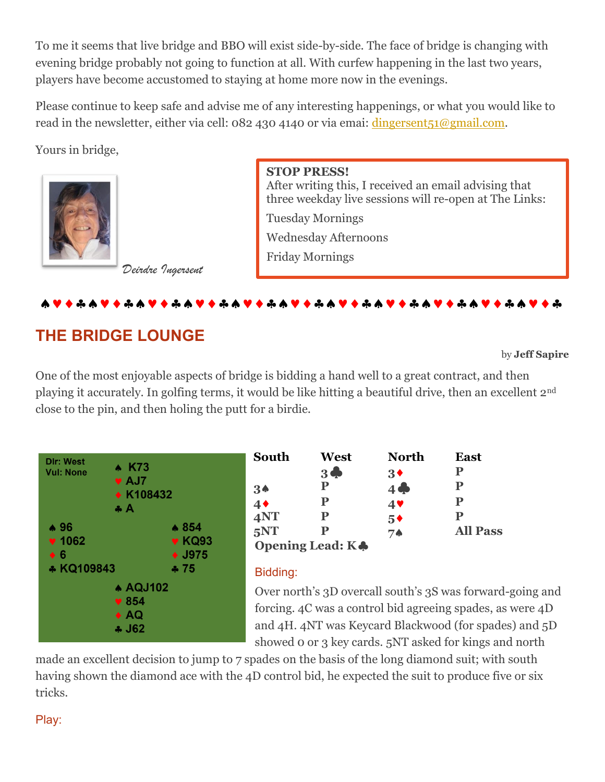To me it seems that live bridge and BBO will exist side-by-side. The face of bridge is changing with evening bridge probably not going to function at all. With curfew happening in the last two years, players have become accustomed to staying at home more now in the evenings.

Please continue to keep safe and advise me of any interesting happenings, or what you would like to read in the newsletter, either via cell: 082 430 4140 or via emai: dingersent<sub>51</sub>@gmail.com.

Yours in bridge,



**STOP PRESS!** After writing this, I received an email advising that three weekday live sessions will re-open at The Links: Tuesday Mornings

Wednesday Afternoons

Friday Mornings

## 

# **THE BRIDGE LOUNGE**

*Deirdre Ingersent*

by **Jeff Sapire**

One of the most enjoyable aspects of bridge is bidding a hand well to a great contract, and then playing it accurately. In golfing terms, it would be like hitting a beautiful drive, then an excellent 2nd close to the pin, and then holing the putt for a birdie.



| South          | West             | <b>North</b>   | <b>East</b>     |
|----------------|------------------|----------------|-----------------|
|                | $3 \spadesuit$   | 3 <sup>4</sup> | Р               |
| 3 <sub>•</sub> | P                | $4 \clubsuit$  | Р               |
| 4 <sub>•</sub> | P                | $4$ V          | Р               |
| 4NT            | P                | $5*$           | P               |
| 5NT            |                  | 7♠             | <b>All Pass</b> |
|                | Opening Lead: KA |                |                 |

## Bidding:

Over north's 3D overcall south's 3S was forward-going and forcing. 4C was a control bid agreeing spades, as were 4D and 4H. 4NT was Keycard Blackwood (for spades) and 5D showed 0 or 3 key cards. 5NT asked for kings and north

made an excellent decision to jump to 7 spades on the basis of the long diamond suit; with south having shown the diamond ace with the 4D control bid, he expected the suit to produce five or six tricks.

Play: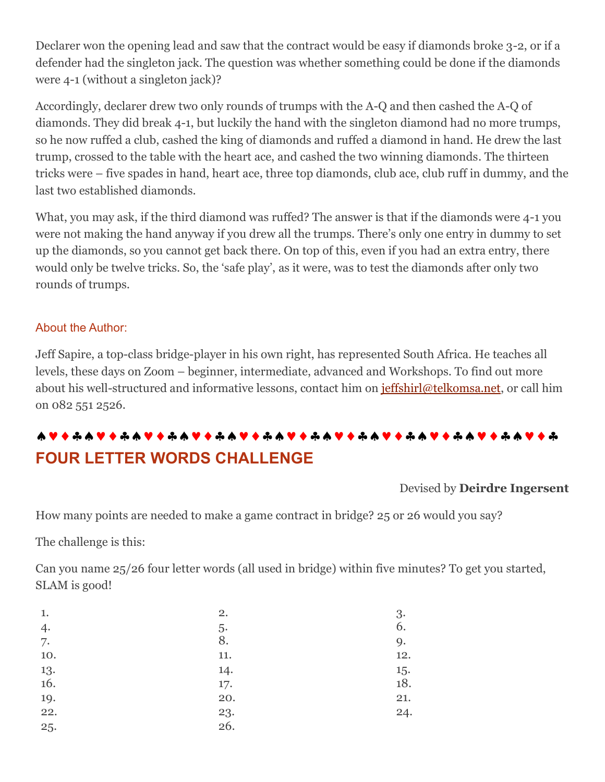Declarer won the opening lead and saw that the contract would be easy if diamonds broke 3-2, or if a defender had the singleton jack. The question was whether something could be done if the diamonds were 4-1 (without a singleton jack)?

Accordingly, declarer drew two only rounds of trumps with the A-Q and then cashed the A-Q of diamonds. They did break 4-1, but luckily the hand with the singleton diamond had no more trumps, so he now ruffed a club, cashed the king of diamonds and ruffed a diamond in hand. He drew the last trump, crossed to the table with the heart ace, and cashed the two winning diamonds. The thirteen tricks were – five spades in hand, heart ace, three top diamonds, club ace, club ruff in dummy, and the last two established diamonds.

What, you may ask, if the third diamond was ruffed? The answer is that if the diamonds were 4-1 you were not making the hand anyway if you drew all the trumps. There's only one entry in dummy to set up the diamonds, so you cannot get back there. On top of this, even if you had an extra entry, there would only be twelve tricks. So, the 'safe play', as it were, was to test the diamonds after only two rounds of trumps.

#### About the Author:

Jeff Sapire, a top-class bridge-player in his own right, has represented South Africa. He teaches all levels, these days on Zoom – beginner, intermediate, advanced and Workshops. To find out more about his well-structured and informative lessons, contact him on [jeffshirl@telkomsa.net,](mailto:jeffshirl@telkomsa.net) or call him on 082 551 2526.

# **FOUR LETTER WORDS CHALLENGE**

#### Devised by **Deirdre Ingersent**

How many points are needed to make a game contract in bridge? 25 or 26 would you say?

The challenge is this:

Can you name 25/26 four letter words (all used in bridge) within five minutes? To get you started, SLAM is good!

| 1.  | 2.  | 3.  |
|-----|-----|-----|
| 4.  | 5.  | 6.  |
| 7.  | 8.  | 9.  |
| 10. | 11. | 12. |
| 13. | 14. | 15. |
| 16. | 17. | 18. |
| 19. | 20. | 21. |
| 22. | 23. | 24. |
| 25. | 26. |     |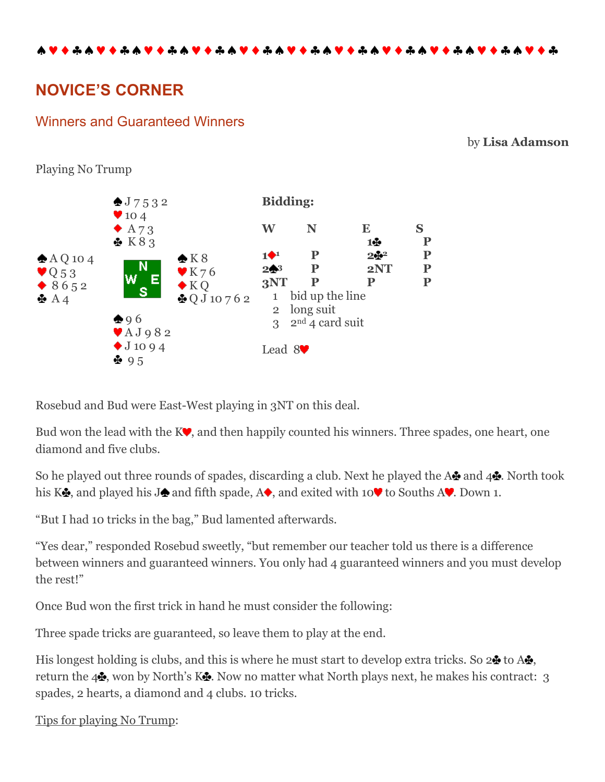# **NOVICE'S CORNER**

## Winners and Guaranteed Winners

#### by **Lisa Adamson**





Rosebud and Bud were East-West playing in 3NT on this deal.

Bud won the lead with the  $K\blacktriangledown$ , and then happily counted his winners. Three spades, one heart, one diamond and five clubs.

So he played out three rounds of spades, discarding a club. Next he played the A and  $44$ . North took his K $\clubsuit$ , and played his J $\spadesuit$  and fifth spade, A $\spadesuit$ , and exited with 10 $\heartsuit$  to Souths A $\heartsuit$ . Down 1.

"But I had 10 tricks in the bag," Bud lamented afterwards.

"Yes dear," responded Rosebud sweetly, "but remember our teacher told us there is a difference between winners and guaranteed winners. You only had 4 guaranteed winners and you must develop the rest!"

Once Bud won the first trick in hand he must consider the following:

Three spade tricks are guaranteed, so leave them to play at the end.

His longest holding is clubs, and this is where he must start to develop extra tricks. So  $2\clubsuit$  to A $\clubsuit$ , return the  $4\clubsuit$ , won by North's K $\clubsuit$ . Now no matter what North plays next, he makes his contract: 3 spades, 2 hearts, a diamond and 4 clubs. 10 tricks.

Tips for playing No Trump: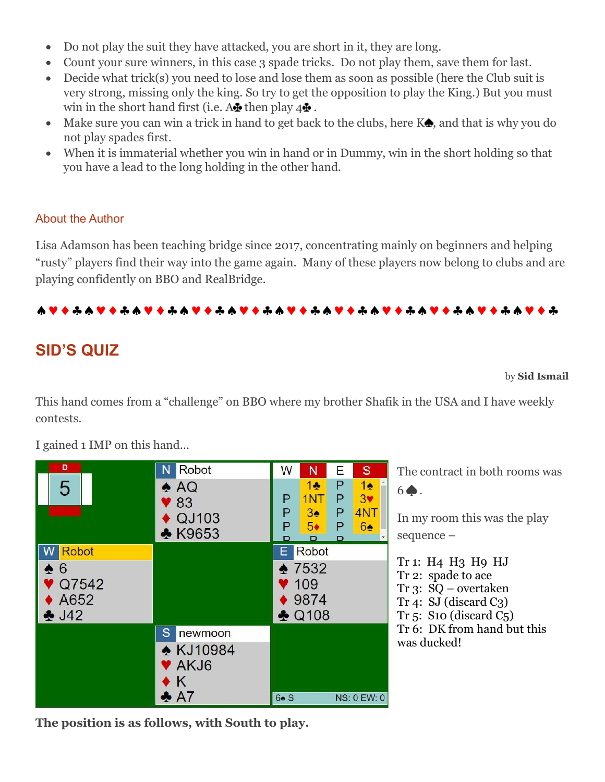- Do not play the suit they have attacked, you are short in it, they are long.
- Count your sure winners, in this case 3 spade tricks. Do not play them, save them for last.
- Decide what trick(s) you need to lose and lose them as soon as possible (here the Club suit is very strong, missing only the king. So try to get the opposition to play the King.) But you must win in the short hand first (i.e.  $A \oplus B$  then play  $4 \oplus A$ .
- Make sure you can win a trick in hand to get back to the clubs, here  $K\spadesuit$ , and that is why you do not play spades first.
- When it is immaterial whether you win in hand or in Dummy, win in the short holding so that you have a lead to the long holding in the other hand.

## About the Author

Lisa Adamson has been teaching bridge since 2017, concentrating mainly on beginners and helping "rusty" players find their way into the game again. Many of these players now belong to clubs and are playing confidently on BBO and RealBridge.

## 

# **SID'S QUIZ**

#### by **Sid Ismail**

This hand comes from a "challenge" on BBO where my brother Shafik in the USA and I have weekly contests.

| D<br>5                                                | <b>Robot</b><br>N.<br>$\triangle$ AQ<br>83<br>QJ103<br><b>★ K9653</b> | W<br>S<br>N<br>Е<br>P<br>1 <sub>2</sub><br>$1 -$<br>1NT<br>Ρ<br>3 <sub>Y</sub><br>Ρ<br>Ρ<br>4NT<br>$3\spadesuit$<br>Ρ<br>6♠<br>P<br>5◆<br>Ρ<br>D<br>D | Ί<br>6<br>Ι<br>S                   |
|-------------------------------------------------------|-----------------------------------------------------------------------|-------------------------------------------------------------------------------------------------------------------------------------------------------|------------------------------------|
| <b>Robot</b><br>6<br>Q7542<br>A652<br>$\clubsuit$ J42 |                                                                       | Robot<br>E<br>$*7532$<br>$\blacktriangledown$ 109<br>9874<br>$\triangle$ Q108                                                                         | Γ<br>Γ<br>η<br>η<br>$\overline{1}$ |
|                                                       | S<br>newmoon<br><b>★ KJ10984</b><br>V AKJ6<br>K<br>$\clubsuit$ A7     | 64 S<br><b>NS: 0 EW: 0</b>                                                                                                                            | $\overline{\phantom{a}}$<br>V      |

I gained 1 IMP on this hand…

The contract in both rooms was 6♠.

In my room this was the play sequence –

Tr 1: H4 H3 H9 HJ Tr 2: spade to ace Tr 3: SQ – overtaken Tr 4: SJ (discard C3) Tr 5: S10 (discard C5) Tr 6: DK from hand but this was ducked!

**The position is as follows, with South to play.**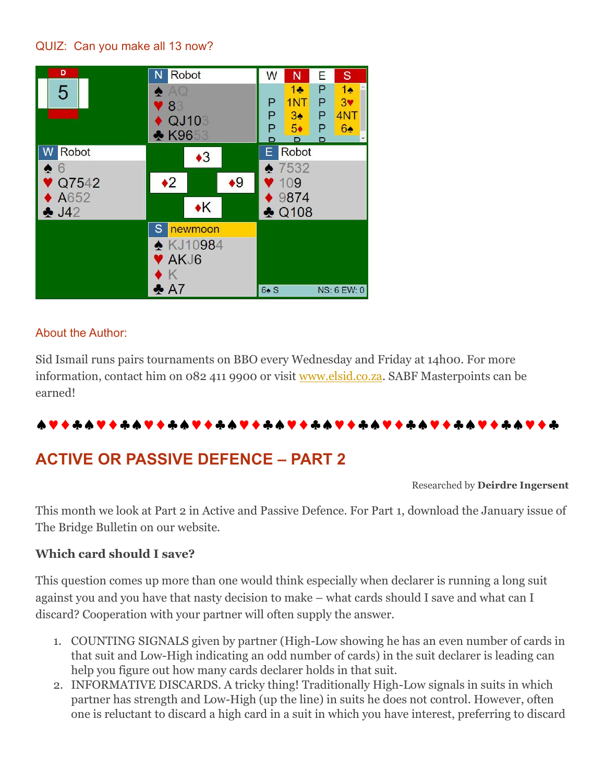## QUIZ: Can you make all 13 now?



#### About the Author:

Sid Ismail runs pairs tournaments on BBO every Wednesday and Friday at 14h00. For more information, contact him on 082 411 9900 or visit [www.elsid.co.za.](http://www.elsid.co.za/) SABF Masterpoints can be earned!

# 

# **ACTIVE OR PASSIVE DEFENCE – PART 2**

#### Researched by **Deirdre Ingersent**

This month we look at Part 2 in Active and Passive Defence. For Part 1, download the January issue of The Bridge Bulletin on our website.

#### **Which card should I save?**

This question comes up more than one would think especially when declarer is running a long suit against you and you have that nasty decision to make – what cards should I save and what can I discard? Cooperation with your partner will often supply the answer.

- 1. COUNTING SIGNALS given by partner (High-Low showing he has an even number of cards in that suit and Low-High indicating an odd number of cards) in the suit declarer is leading can help you figure out how many cards declarer holds in that suit.
- 2. INFORMATIVE DISCARDS. A tricky thing! Traditionally High-Low signals in suits in which partner has strength and Low-High (up the line) in suits he does not control. However, often one is reluctant to discard a high card in a suit in which you have interest, preferring to discard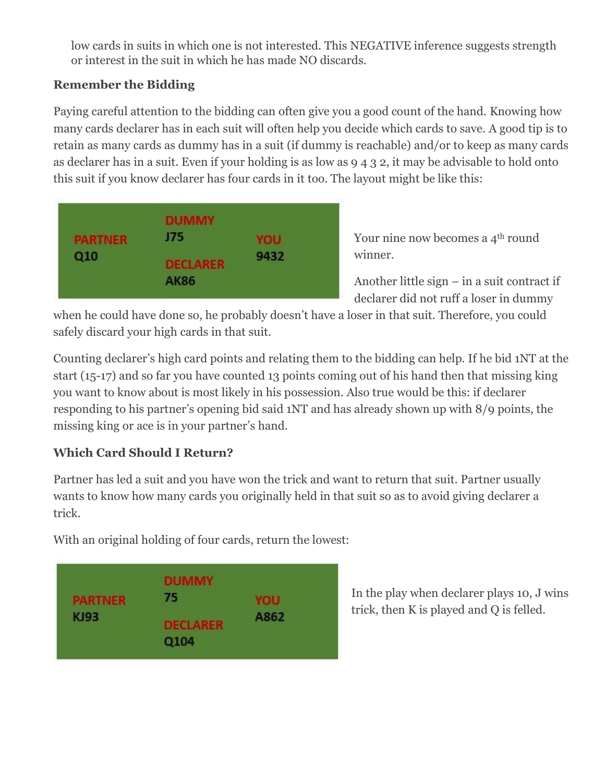low cards in suits in which one is not interested. This NEGATIVE inference suggests strength or interest in the suit in which he has made NO discards.

## **Remember the Bidding**

Paying careful attention to the bidding can often give you a good count of the hand. Knowing how many cards declarer has in each suit will often help you decide which cards to save. A good tip is to retain as many cards as dummy has in a suit (if dummy is reachable) and/or to keep as many cards as declarer has in a suit. Even if your holding is as low as 9 4 3 2, it may be advisable to hold onto this suit if you know declarer has four cards in it too. The layout might be like this:

| AK86 |
|------|
|------|

Your nine now becomes a 4<sup>th</sup> round winner.

Another little sign – in a suit contract if declarer did not ruff a loser in dummy

when he could have done so, he probably doesn't have a loser in that suit. Therefore, you could safely discard your high cards in that suit.

Counting declarer's high card points and relating them to the bidding can help. If he bid 1NT at the start (15-17) and so far you have counted 13 points coming out of his hand then that missing king you want to know about is most likely in his possession. Also true would be this: if declarer responding to his partner's opening bid said 1NT and has already shown up with 8/9 points, the missing king or ace is in your partner's hand.

# **Which Card Should I Return?**

Partner has led a suit and you have won the trick and want to return that suit. Partner usually wants to know how many cards you originally held in that suit so as to avoid giving declarer a trick.

With an original holding of four cards, return the lowest:



In the play when declarer plays 10, J wins trick, then K is played and Q is felled.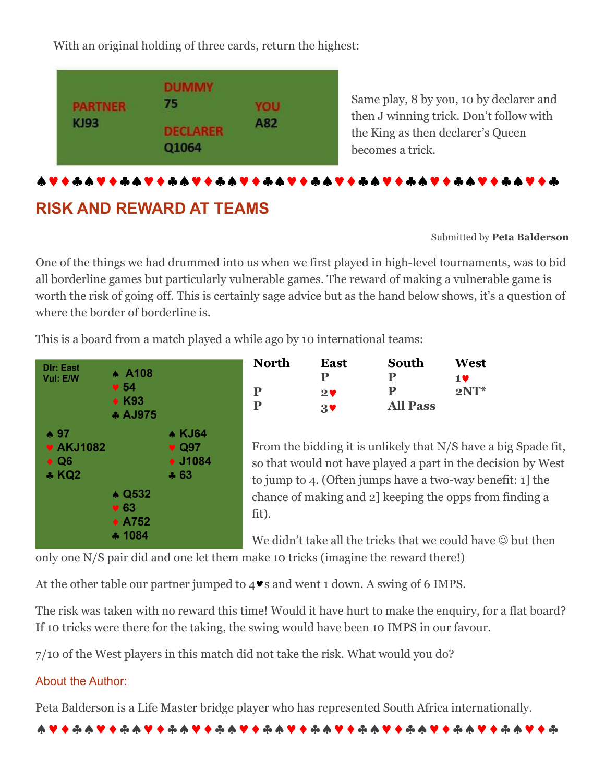With an original holding of three cards, return the highest:



Same play, 8 by you, 10 by declarer and then J winning trick. Don't follow with the King as then declarer's Queen becomes a trick.

# 

# **RISK AND REWARD AT TEAMS**

#### Submitted by **Peta Balderson**

One of the things we had drummed into us when we first played in high-level tournaments, was to bid all borderline games but particularly vulnerable games. The reward of making a vulnerable game is worth the risk of going off. This is certainly sage advice but as the hand below shows, it's a question of where the border of borderline is.

This is a board from a match played a while ago by 10 international teams:



| North | East           | South           | West   |
|-------|----------------|-----------------|--------|
|       |                | Р               | 1 V    |
| P     | 29             | P               | $2NT*$ |
| P     | $\mathbf{3}$ V | <b>All Pass</b> |        |

From the bidding it is unlikely that N/S have a big Spade fit, so that would not have played a part in the decision by West to jump to 4. (Often jumps have a two-way benefit: 1] the chance of making and 2] keeping the opps from finding a fit).

We didn't take all the tricks that we could have  $\odot$  but then

only one N/S pair did and one let them make 10 tricks (imagine the reward there!)

At the other table our partner jumped to  $4\blacktriangledown s$  and went 1 down. A swing of 6 IMPS.

The risk was taken with no reward this time! Would it have hurt to make the enquiry, for a flat board? If 10 tricks were there for the taking, the swing would have been 10 IMPS in our favour.

7/10 of the West players in this match did not take the risk. What would you do?

## About the Author:

Peta Balderson is a Life Master bridge player who has represented South Africa internationally.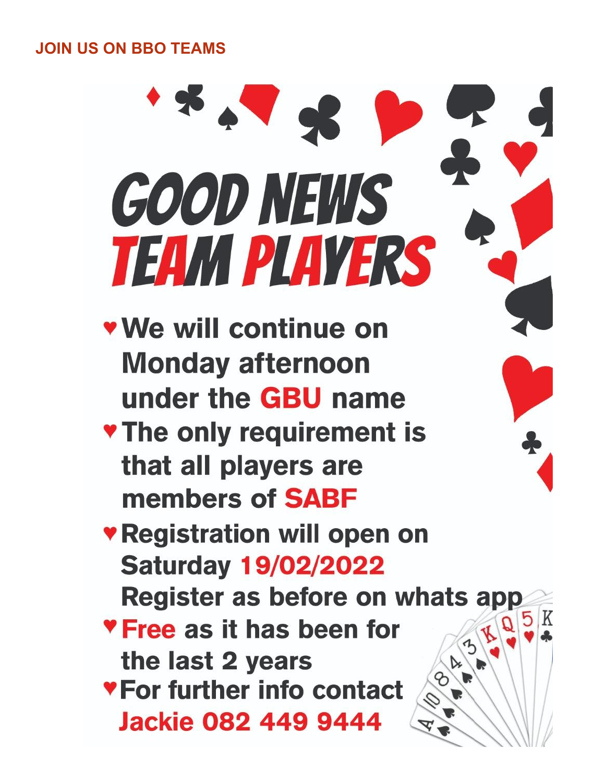**JOIN US ON BBO TEAMS**